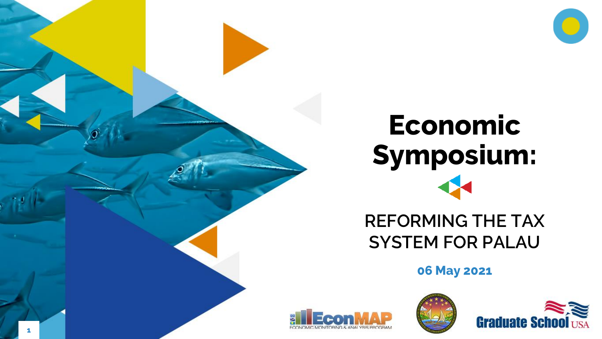

# **Economic Symposium:**

#### **REFORMING THE TAX SYSTEM FOR PALAU**

**06 May 2021**





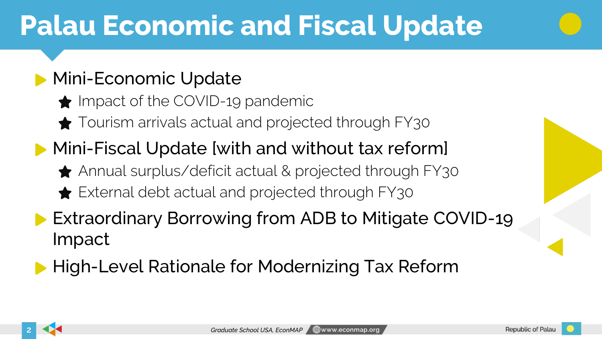# **Palau Economic and Fiscal Update**

#### **Mini-Economic Update**

- $\bigstar$  Impact of the COVID-19 pandemic
- Tourism arrivals actual and projected through FY30
- **Mini-Fiscal Update [with and without tax reform]** 
	- ◆ Annual surplus/deficit actual & projected through FY30
	- External debt actual and projected through FY30
- **Extraordinary Borrowing from ADB to Mitigate COVID-19** Impact
- **High-Level Rationale for Modernizing Tax Reform**

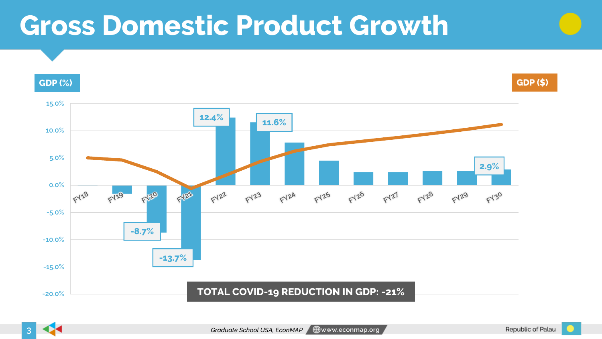# **Gross Domestic Product Growth**



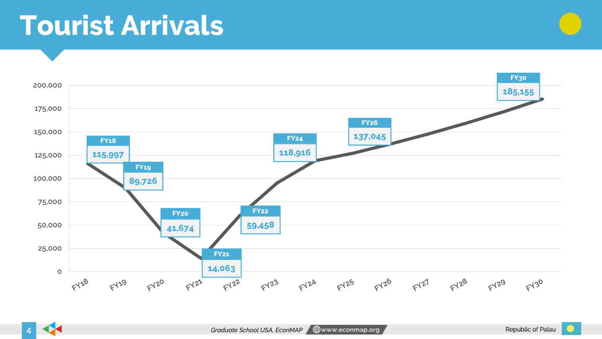### **Tourist Arrivals**



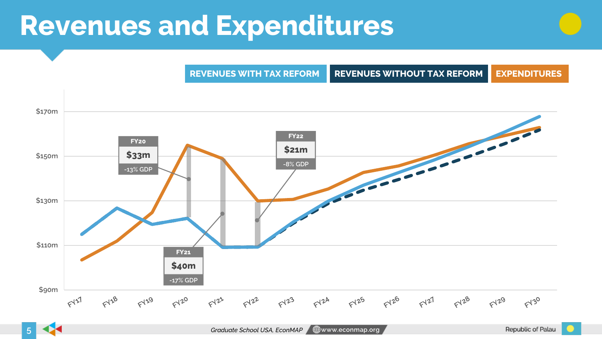# **Revenues and Expenditures**





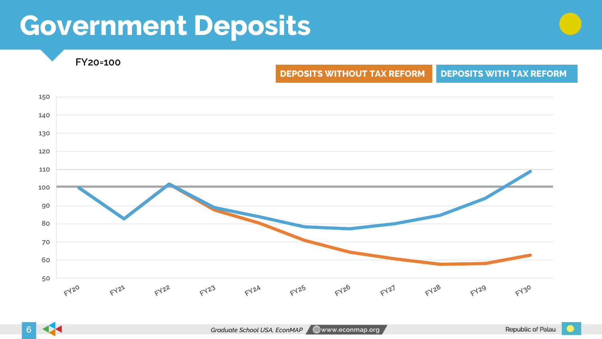# **Government Deposits**



**FY20=100**

#### **DEPOSITS WITHOUT TAX REFORM DEPOSITS WITH TAX REFORM**

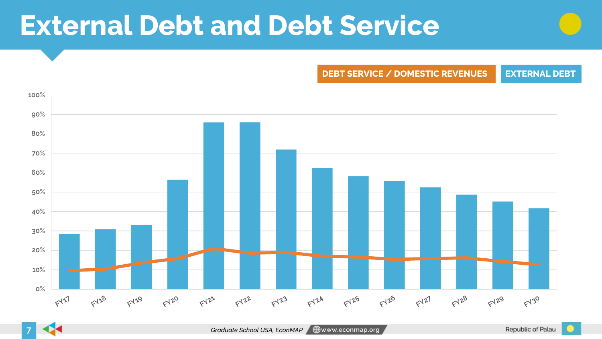# **External Debt and Debt Service**

**DEBT SERVICE / DOMESTIC REVENUES EXTERNAL DEBT**



**7**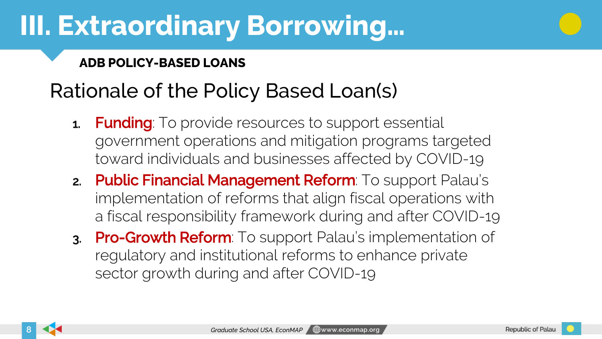# **III. Extraordinary Borrowing…**

#### **ADB POLICY-BASED LOANS**

#### Rationale of the Policy Based Loan(s)

- **1. Funding**: To provide resources to support essential government operations and mitigation programs targeted toward individuals and businesses affected by COVID-19
- 2. Public Financial Management Reform: To support Palau's implementation of reforms that align fiscal operations with a fiscal responsibility framework during and after COVID-19
- 3. Pro-Growth Reform: To support Palau's implementation of regulatory and institutional reforms to enhance private sector growth during and after COVID-19

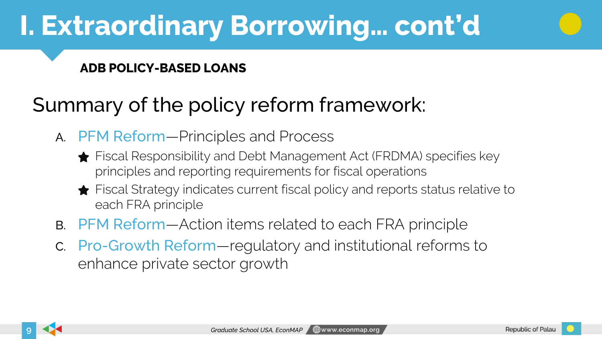# **I. Extraordinary Borrowing… cont'd**

#### **ADB POLICY-BASED LOANS**

#### Summary of the policy reform framework:

- A. PFM Reform—Principles and Process
	- **★** Fiscal Responsibility and Debt Management Act (FRDMA) specifies key principles and reporting requirements for fiscal operations
	- Fiscal Strategy indicates current fiscal policy and reports status relative to each FRA principle
- B. PFM Reform—Action items related to each FRA principle
- C. Pro-Growth Reform—regulatory and institutional reforms to enhance private sector growth

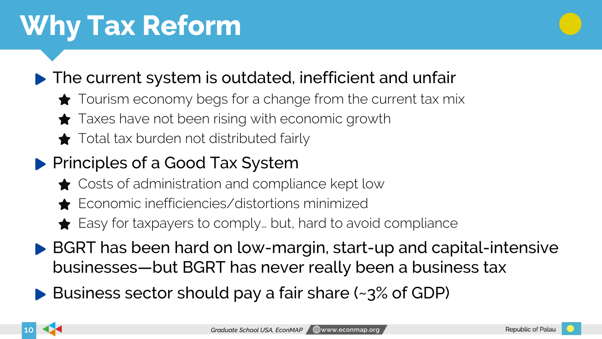# **Why Tax Reform**



#### ▶ The current system is outdated, inefficient and unfair

- Tourism economy begs for a change from the current tax mix
- **★** Taxes have not been rising with economic growth
- $\bigstar$  Total tax burden not distributed fairly

#### **Principles of a Good Tax System**

- **★** Costs of administration and compliance kept low
- Economic inefficiencies/distortions minimized
- **★** Easy for taxpayers to comply... but, hard to avoid compliance
- ▶ BGRT has been hard on low-margin, start-up and capital-intensive businesses—but BGRT has never really been a business tax
- ▶ Business sector should pay a fair share (~3% of GDP)

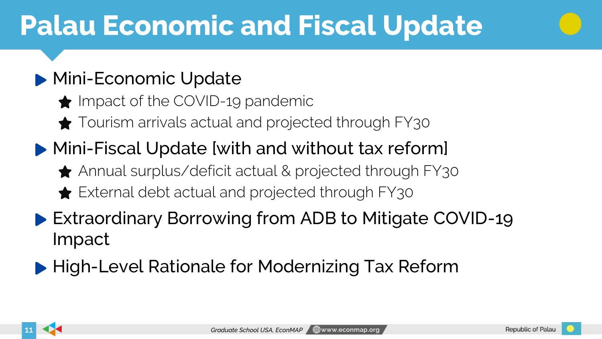# **Palau Economic and Fiscal Update**

#### **Mini-Economic Update**

- $\bigstar$  Impact of the COVID-19 pandemic
- Tourism arrivals actual and projected through FY30
- Mini-Fiscal Update [with and without tax reform]
	- ◆ Annual surplus/deficit actual & projected through FY30
	- **★** External debt actual and projected through FY30
- ▶ Extraordinary Borrowing from ADB to Mitigate COVID-19 Impact
- ▶ High-Level Rationale for Modernizing Tax Reform